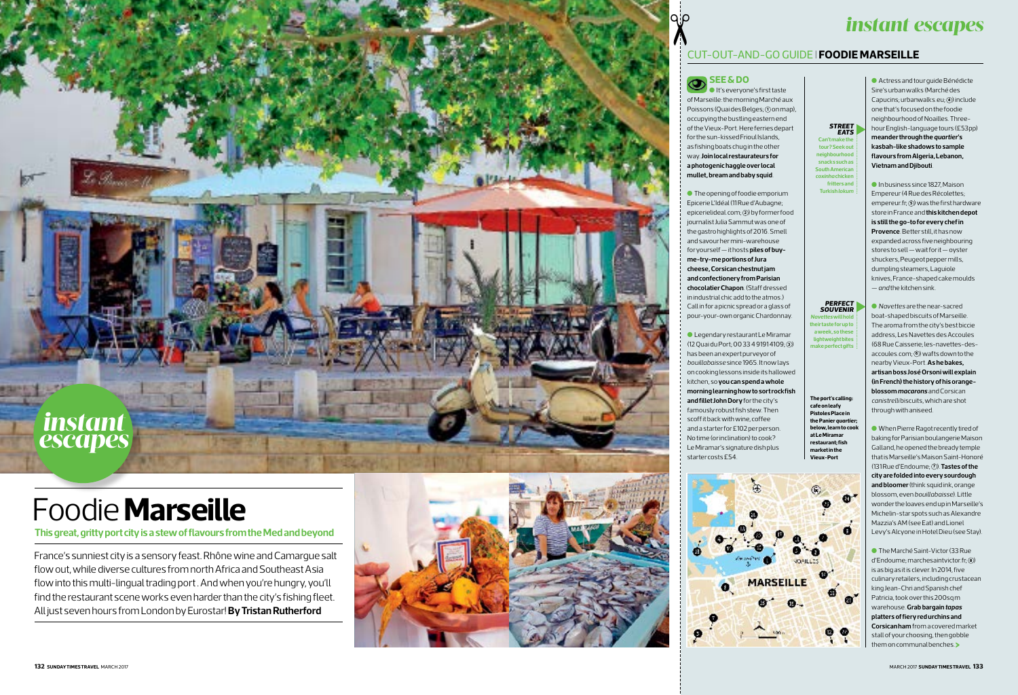# *instant escapes*

## CUT-OUT-AND-GO GUIDE I **FOODIE MARSEILLE**

# Foodie **Marseille**

### **This great, gritty port city is a stew of flavours from the Med and beyond**



France's sunniest city is a sensory feast. Rhône wine and Camargue salt flow out, while diverse cultures from north Africa and Southeast Asia flow into this multi-lingual trading port . And when you're hungry, you'll find the restaurant scene works even harder than the city's fishing fleet. All just seven hours from London by Eurostar! **By Tristan Rutherford**



# **See & do**

l It's everyone's first taste of Marseille: the morning Marché aux Poissons (Quai des Belges; **1** on map), occupying the bustling eastern end of the Vieux-Port. Here ferries depart for the sun-kissed Frioul Islands, as fishing boats chug in the other way. **Join local restaurateurs for a photogenic haggle over local mullet, bream and baby squid** .

> **The port's calling: cafe on leafy Pistoles Place in the Panier** *quartier***; below, learn to cook at Le Miramar restaurant; fish Wieux-Port**



l The opening of foodie emporium Epicerie L'Idéal (11 Rue d'Aubagne; epicerielideal.com; **<sup>2</sup>** ) by former food journalist Julia Sammut was one of the gastro highlights of 2016. Smell and savour her mini-warehouse for yourself — it hosts **piles of buyme-try-me portions of Jura cheese, Corsican chestnut jam and confectionery from Parisian chocolatier Chapon**. (Staff dressed in industrial chic add to the atmos.) Call in for a picnic spread or a glass of pour-your-own organic Chardonnay.

**In business since 1827, Maison** Empereur (4 Rue des Récolettes; empereur.fr; **<sup>5</sup>** ) was the first hardware store in France and **this kitchen depot is still the go-to for every chef in Provence**. Better still, it has now expanded across five neighbouring stores to sell — wait for it — oyster shuckers, Peugeot pepper mills, dumpling steamers, Laguiole knives, France-shaped cake moulds — *and* the kitchen sink.

l Legendary restaurant Le Miramar (12 Quai du Port; 00 33 4 9191 4109; **<sup>3</sup>** ) has been an expert purveyor of *bouillabaisse* since 1965. It now lays on cooking lessons inside its hallowed kitchen, so **you can spend a whole morning learning how to sort rockfish and fillet John Dory** for the city's famously robust fish stew. Then scoff it back with wine, coffee and a starter for £102 per person. No time (or inclination) to cook? Le Miramar's signature dish plus

starter costs £54.

**Can't n tour? Seek out neighbourhood snacks such as South American**  *coxinha* **chicken fritters and Turkish** *lokum STREET EATS*

l Actress and tour guide Bénédicte Sire's urban walks (Marché des Capucins; urbanwalks.eu; **<sup>4</sup>** ) include one that's focused on the foodie neighbourhood of Noailles. Threehour English-language tours (£53pp) **meander through the** *quartier***'s kasbah-like shadows to sample flavours from Algeria, Lebanon, Vietnam and Djibouti**.

**>** them on communal benches. **The Marché Saint-Victor (33 Rue** d'Endoume; marchesaintvictor.fr; **<sup>8</sup>** ) is as big as it is clever. In 2014, five culinary retailers, including crustacean king Jean-Chri and Spanish chef Patricia, took over this 200sq m warehouse. **Grab bargain** *tapas* **platters of fiery red urchins and Corsican ham** from a covered market stall of your choosing, then gobble

l *Navettes* are the near-sacred boat-shaped biscuits of Marseille. The aroma from the city's best biccie address, Les Navettes des Accoules (68 Rue Caisserie; les-navettes-desaccoules.com; **<sup>6</sup>** ) wafts down to the nearby Vieux-Port. **As he bakes, artisan boss José Orsoni will explain (in French) the history of his orangeblossom** *macarons* and Corsican *canistrelli* biscuits, which are shot through with aniseed.

l When Pierre Ragot recently tired of baking for Parisian boulangerie Maison Galland, he opened the bready temple that is Marseille's Maison Saint-Honoré (131 Rue d'Endoume; **<sup>7</sup>** ). **Tastes of the city are folded into every sourdough and bloomer** (think squid ink, orange blossom, even *bouillabaisse*). Little wonder the loaves end up in Marseille's Michelin-star spots such as Alexandre Mazzia's AM (see Eat) and Lionel Levy's Alcyone in Hotel Dieu (see Stay).

*Navettes* **will hold their taste for up to a week, so these lightweight bites make perfect gifts** *PERFECT SOUVENIR*